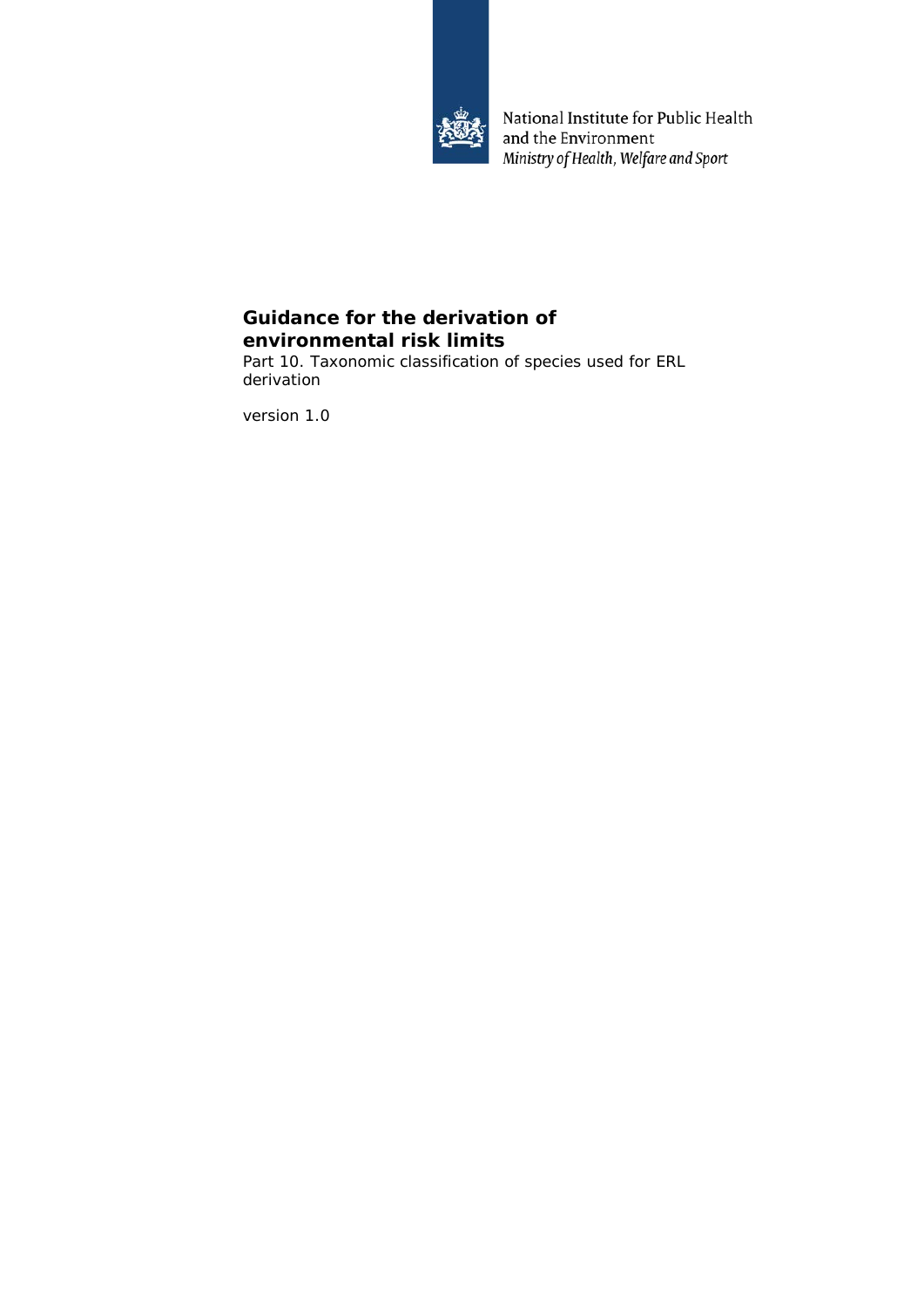

National Institute for Public Health and the Environment Ministry of Health, Welfare and Sport

# **Guidance for the derivation of environmental risk limits**

Part 10. Taxonomic classification of species used for ERL derivation

version 1.0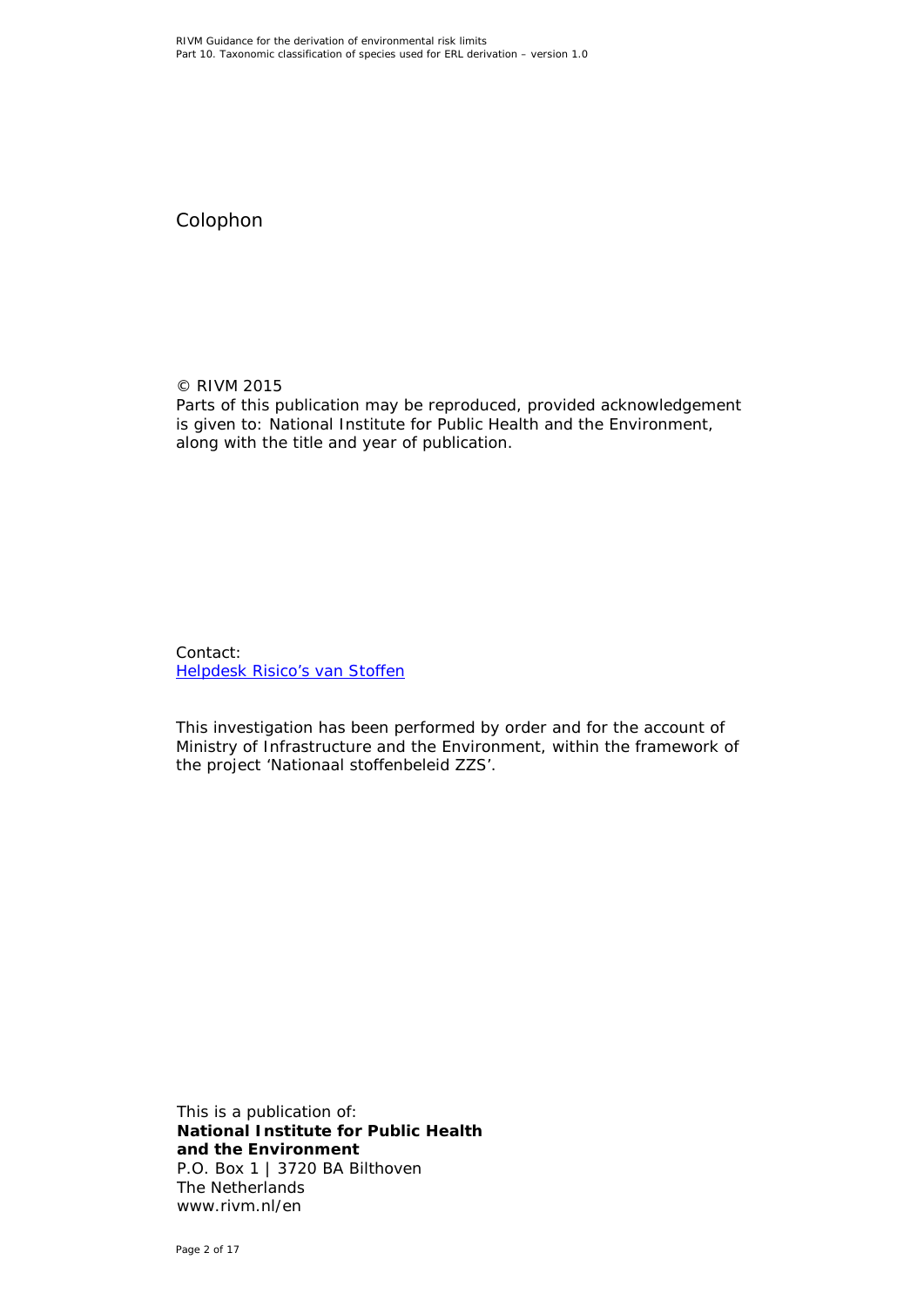Colophon

© RIVM 2015 Parts of this publication may be reproduced, provided acknowledgement is given to: National Institute for Public Health and the Environment, along with the title and year of publication.

Contact: [Helpdesk Risico's van Stoffen](https://rvs.rivm.nl/helpdesk/helpdesk-risicos-van-stoffen)

This investigation has been performed by order and for the account of Ministry of Infrastructure and the Environment, within the framework of the project 'Nationaal stoffenbeleid ZZS'.

This is a publication of: **National Institute for Public Health and the Environment** P.O. Box 1 | 3720 BA Bilthoven The Netherlands www.rivm.nl/en

Page 2 of 17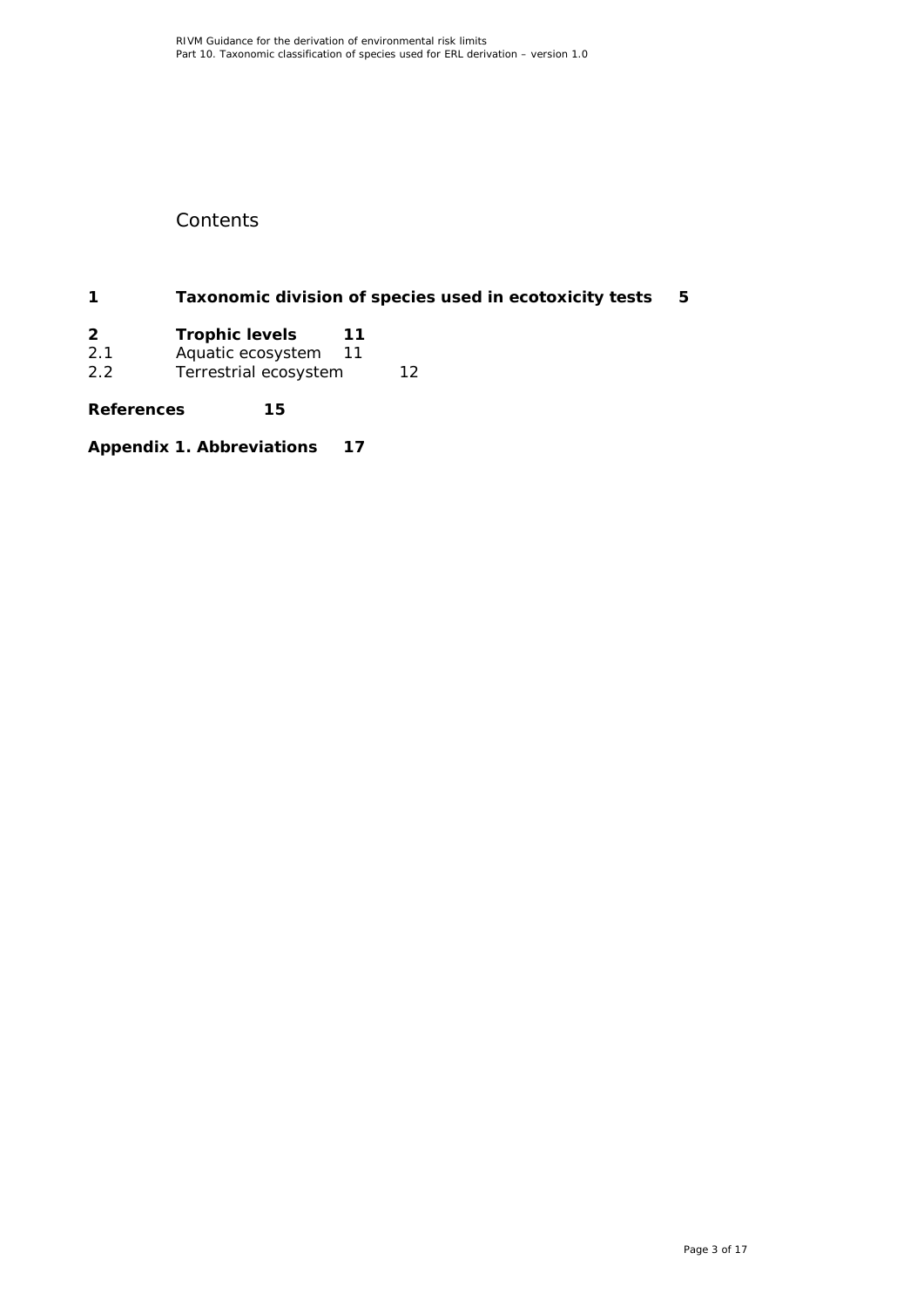# **Contents**

**1 [Taxonomic division of species used in ecotoxicity tests](#page-4-0) 5**

| 2 | <b>Trophic levels</b> | 11 |
|---|-----------------------|----|
|   |                       |    |

- 2.1 [Aquatic ecosystem](#page-10-1) 11
- 2.2 [Terrestrial ecosystem](#page-11-0) 12

**[References](#page-14-0) 15**

**[Appendix 1. Abbreviations](#page-14-1) 17**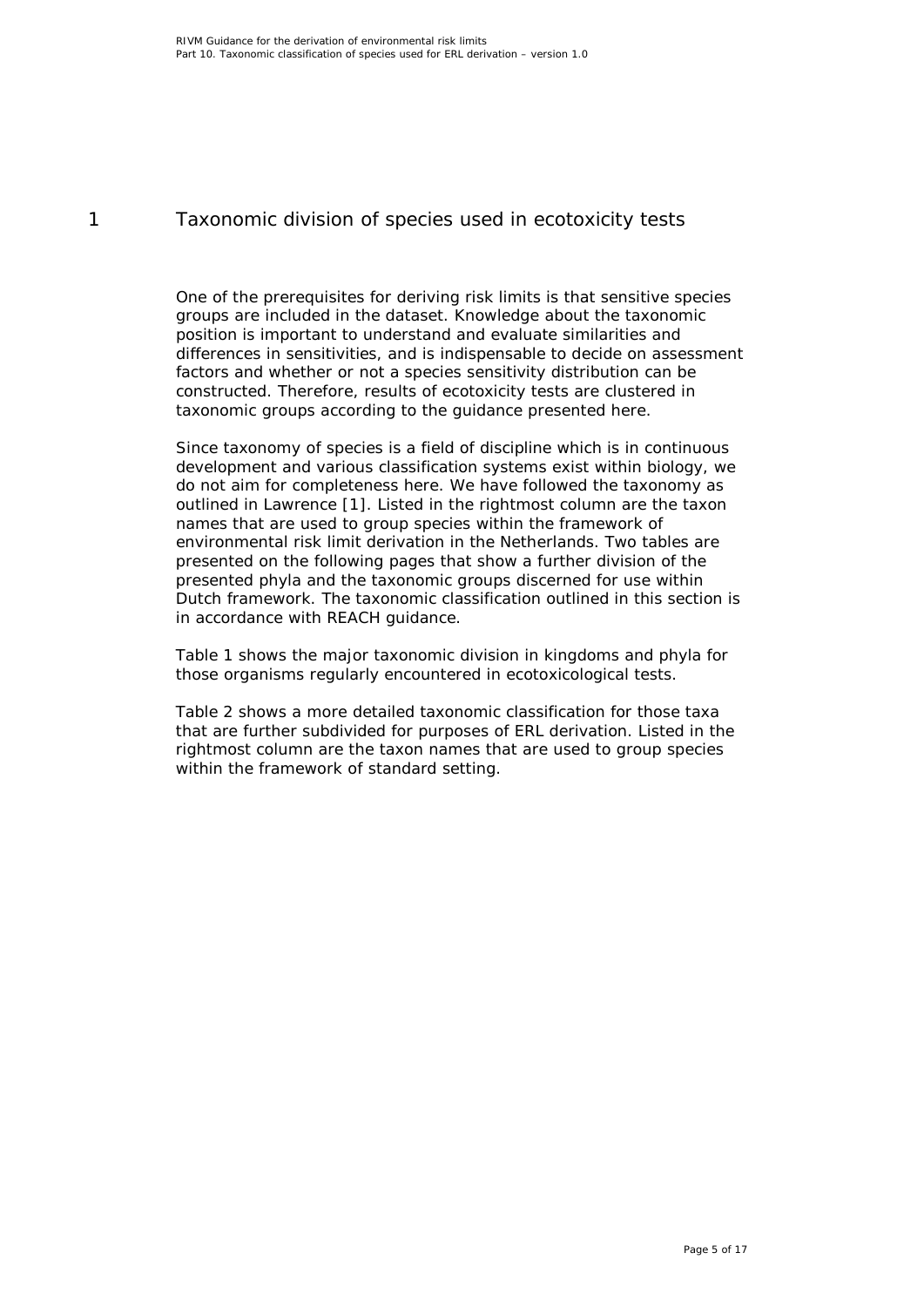## 1 Taxonomic division of species used in ecotoxicity tests

<span id="page-4-0"></span>One of the prerequisites for deriving risk limits is that sensitive species groups are included in the dataset. Knowledge about the taxonomic position is important to understand and evaluate similarities and differences in sensitivities, and is indispensable to decide on assessment factors and whether or not a species sensitivity distribution can be constructed. Therefore, results of ecotoxicity tests are clustered in taxonomic groups according to the guidance presented here.

Since taxonomy of species is a field of discipline which is in continuous development and various classification systems exist within biology, we do not aim for completeness here. We have followed the taxonomy as outlined in Lawrence [\[1\]](#page-14-2). Listed in the rightmost column are the taxon names that are used to group species within the framework of environmental risk limit derivation in the Netherlands. Two tables are presented on the following pages that show a further division of the presented phyla and the taxonomic groups discerned for use within Dutch framework. The taxonomic classification outlined in this section is in accordance with REACH guidance.

Table 1 shows the major taxonomic division in kingdoms and phyla for those organisms regularly encountered in ecotoxicological tests.

Table 2 shows a more detailed taxonomic classification for those taxa that are further subdivided for purposes of ERL derivation. Listed in the rightmost column are the taxon names that are used to group species within the framework of standard setting.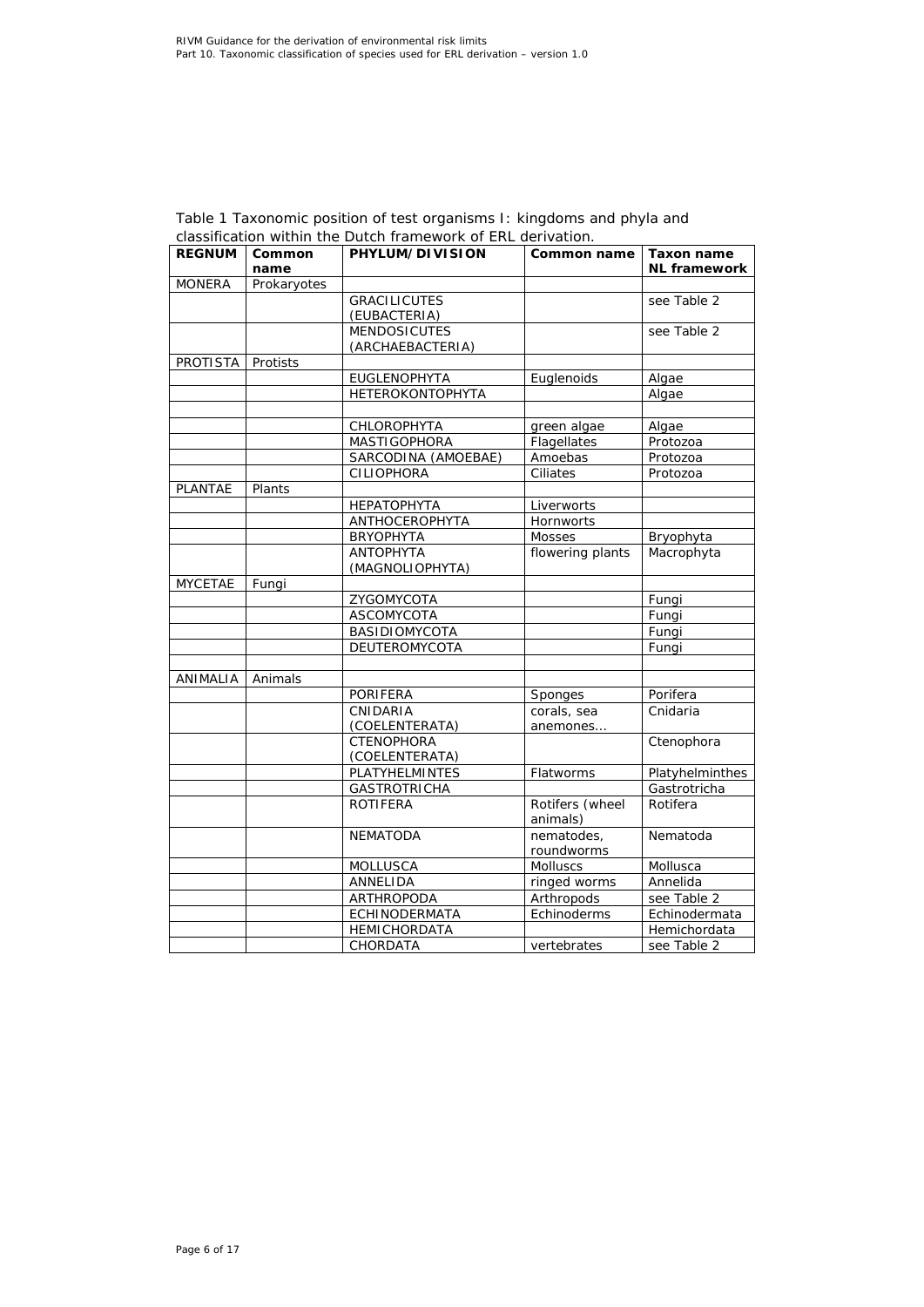| <b>REGNUM</b>  | Common<br>name | PHYLUM/DIVISION         | Common name      | Taxon name<br><b>NL</b> framework |
|----------------|----------------|-------------------------|------------------|-----------------------------------|
| <b>MONERA</b>  | Prokaryotes    |                         |                  |                                   |
|                |                | <b>GRACILICUTES</b>     |                  | see Table 2                       |
|                |                | (EUBACTERIA)            |                  |                                   |
|                |                | <b>MENDOSICUTES</b>     |                  | see Table 2                       |
|                |                | (ARCHAEBACTERIA)        |                  |                                   |
| PROTISTA       | Protists       |                         |                  |                                   |
|                |                | <b>EUGLENOPHYTA</b>     | Euglenoids       | Algae                             |
|                |                | <b>HETEROKONTOPHYTA</b> |                  | Algae                             |
|                |                |                         |                  |                                   |
|                |                | CHLOROPHYTA             | green algae      | Algae                             |
|                |                | <b>MASTIGOPHORA</b>     | Flagellates      | Protozoa                          |
|                |                | SARCODINA (AMOEBAE)     | Amoebas          | Protozoa                          |
|                |                | <b>CILIOPHORA</b>       | Ciliates         | Protozoa                          |
| PLANTAE        | Plants         |                         |                  |                                   |
|                |                | <b>НЕРАТОРНҮТА</b>      | Liverworts       |                                   |
|                |                | ANTHOCEROPHYTA          | Hornworts        |                                   |
|                |                | <b>BRYOPHYTA</b>        | Mosses           | Bryophyta                         |
|                |                | <b>ANTOPHYTA</b>        | flowering plants | Macrophyta                        |
|                |                | (MAGNOLIOPHYTA)         |                  |                                   |
| <b>MYCETAE</b> | Fungi          |                         |                  |                                   |
|                |                | ZYGOMYCOTA              |                  | Fungi                             |
|                |                | ASCOMYCOTA              |                  | Fungi                             |
|                |                | BASIDIOMYCOTA           |                  | Fungi                             |
|                |                | DEUTEROMYCOTA           |                  | Fungi                             |
| ANIMALIA       | Animals        |                         |                  |                                   |
|                |                | <b>PORIFERA</b>         | Sponges          | Porifera                          |
|                |                | CNIDARIA                | corals, sea      | Cnidaria                          |
|                |                | (COELENTERATA)          | anemones         |                                   |
|                |                | <b>CTENOPHORA</b>       |                  | Ctenophora                        |
|                |                | (COELENTERATA)          |                  |                                   |
|                |                | PLATYHELMINTES          | Flatworms        | Platyhelminthes                   |
|                |                | <b>GASTROTRICHA</b>     |                  | Gastrotricha                      |
|                |                | <b>ROTIFERA</b>         | Rotifers (wheel  | Rotifera                          |
|                |                |                         | animals)         |                                   |
|                |                | <b>NEMATODA</b>         | nematodes.       | Nematoda                          |
|                |                |                         | roundworms       |                                   |
|                |                | <b>MOLLUSCA</b>         | Molluscs         | Mollusca                          |
|                |                | ANNELIDA                | ringed worms     | Annelida                          |
|                |                | ARTHROPODA              | Arthropods       | see Table 2                       |
|                |                | <b>ECHINODERMATA</b>    | Echinoderms      | Echinodermata                     |
|                |                | <b>HEMICHORDATA</b>     |                  | Hemichordata                      |
|                |                | CHORDATA                | vertebrates      | see Table 2                       |

#### *Table 1 Taxonomic position of test organisms I: kingdoms and phyla and classification within the Dutch framework of ERL derivation.*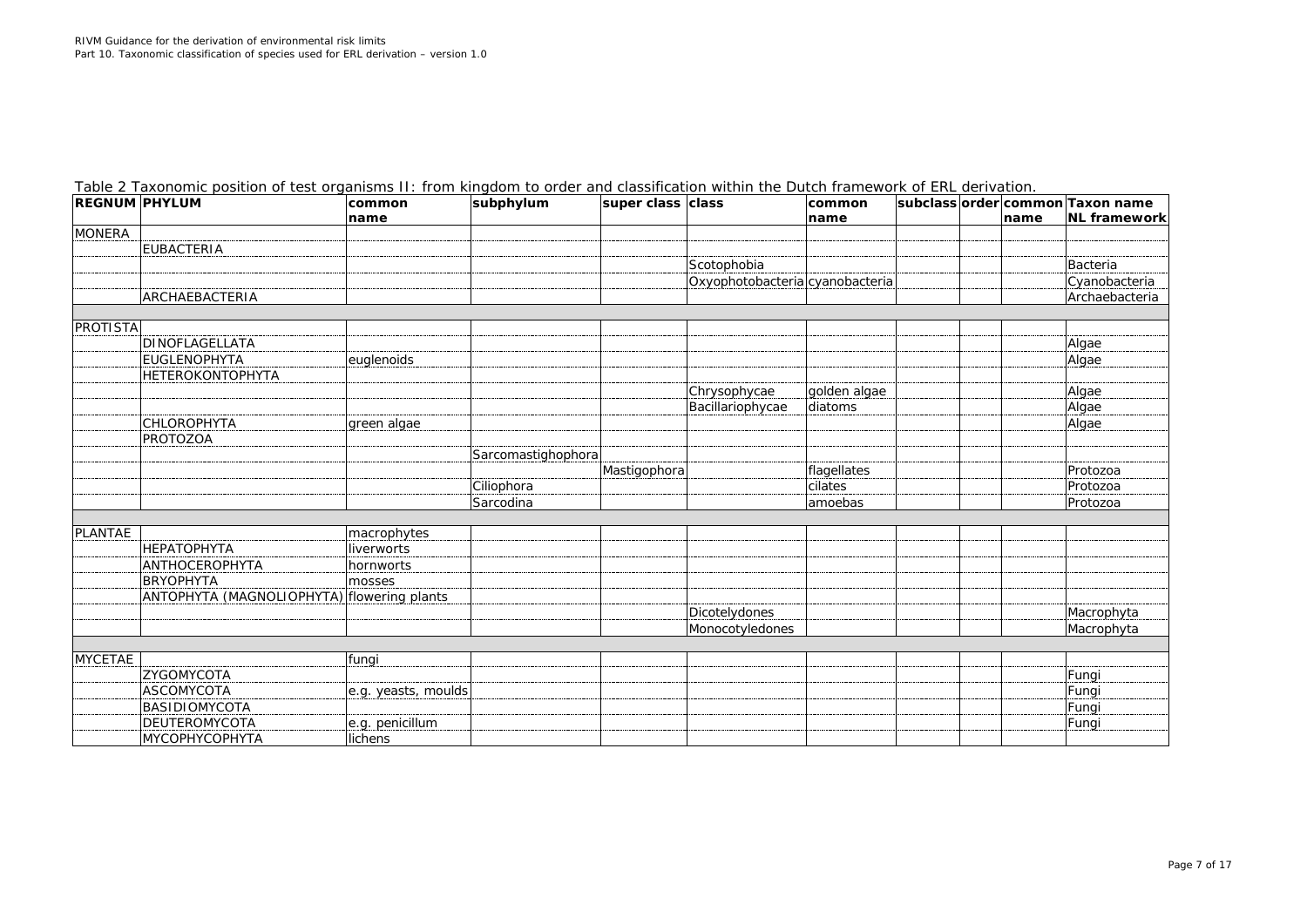| <b>REGNUM PHYLUM</b> |                                            | common<br>name      | subphylum          | super class class |                                 | common<br>name |  | name | subclass order common Taxon name<br><b>NL</b> framework |
|----------------------|--------------------------------------------|---------------------|--------------------|-------------------|---------------------------------|----------------|--|------|---------------------------------------------------------|
| <b>MONERA</b>        |                                            |                     |                    |                   |                                 |                |  |      |                                                         |
|                      | <b>EUBACTERIA</b>                          |                     |                    |                   |                                 |                |  |      |                                                         |
|                      |                                            |                     |                    |                   | Scotophobia                     |                |  |      | Bacteria                                                |
|                      |                                            |                     |                    |                   | Oxyophotobacteria cyanobacteria |                |  |      | Cyanobacteria                                           |
|                      | ARCHAEBACTERIA                             |                     |                    |                   |                                 |                |  |      | Archaebacteria                                          |
|                      |                                            |                     |                    |                   |                                 |                |  |      |                                                         |
| PROTISTA             |                                            |                     |                    |                   |                                 |                |  |      |                                                         |
|                      | <b>DINOFLAGELLATA</b>                      |                     |                    |                   |                                 |                |  |      | Algae                                                   |
|                      | <b>EUGLENOPHYTA</b>                        | euglenoids          |                    |                   |                                 |                |  |      | Algae                                                   |
|                      | HETEROKONTOPHYTA                           |                     |                    |                   |                                 |                |  |      |                                                         |
|                      |                                            |                     |                    |                   | Chrysophycae                    | golden algae   |  |      | Algae                                                   |
|                      |                                            |                     |                    |                   | Bacillariophycae                | diatoms        |  |      | Algae                                                   |
|                      | CHLOROPHYTA                                | green algae         |                    |                   |                                 |                |  |      | Algae                                                   |
|                      | <b>PROTOZOA</b>                            |                     |                    |                   |                                 |                |  |      |                                                         |
|                      |                                            |                     | Sarcomastighophora |                   |                                 |                |  |      |                                                         |
|                      |                                            |                     |                    | Mastigophora      |                                 | flagellates    |  |      | Protozoa                                                |
|                      |                                            |                     | Ciliophora         |                   |                                 | cilates        |  |      | Protozoa                                                |
|                      |                                            |                     | Sarcodina          |                   |                                 | amoebas        |  |      | Protozoa                                                |
|                      |                                            |                     |                    |                   |                                 |                |  |      |                                                         |
| PLANTAE              |                                            | macrophytes         |                    |                   |                                 |                |  |      |                                                         |
|                      | <b>НЕРАТОРНҮТА</b>                         | liverworts          |                    |                   |                                 |                |  |      |                                                         |
|                      | <b>ANTHOCEROPHYTA</b>                      | hornworts           |                    |                   |                                 |                |  |      |                                                         |
|                      | <b>BRYOPHYTA</b>                           | mosses              |                    |                   |                                 |                |  |      |                                                         |
|                      | ANTOPHYTA (MAGNOLIOPHYTA) flowering plants |                     |                    |                   |                                 |                |  |      |                                                         |
|                      |                                            |                     |                    |                   | Dicotelydones                   |                |  |      | Macrophyta                                              |
|                      |                                            |                     |                    |                   | Monocotyledones                 |                |  |      | Macrophyta                                              |
|                      |                                            |                     |                    |                   |                                 |                |  |      |                                                         |
| <b>MYCETAE</b>       |                                            | fungi               |                    |                   |                                 |                |  |      |                                                         |
|                      | ZYGOMYCOTA                                 |                     |                    |                   |                                 |                |  |      | Fungi                                                   |
|                      | <b>ASCOMYCOTA</b>                          | e.g. yeasts, moulds |                    |                   |                                 |                |  |      | Fungi                                                   |
|                      | <b>BASIDIOMYCOTA</b>                       |                     |                    |                   |                                 |                |  |      | Fungi                                                   |
|                      | <b>DEUTEROMYCOTA</b>                       | e.g. penicillum     |                    |                   |                                 |                |  |      | Fungi                                                   |
|                      | <b>МҮСОРНҮСОРНҮТА</b>                      | lichens             |                    |                   |                                 |                |  |      |                                                         |

*Table 2 Taxonomic position of test organisms II: from kingdom to order and classification within the Dutch framework of ERL derivation.*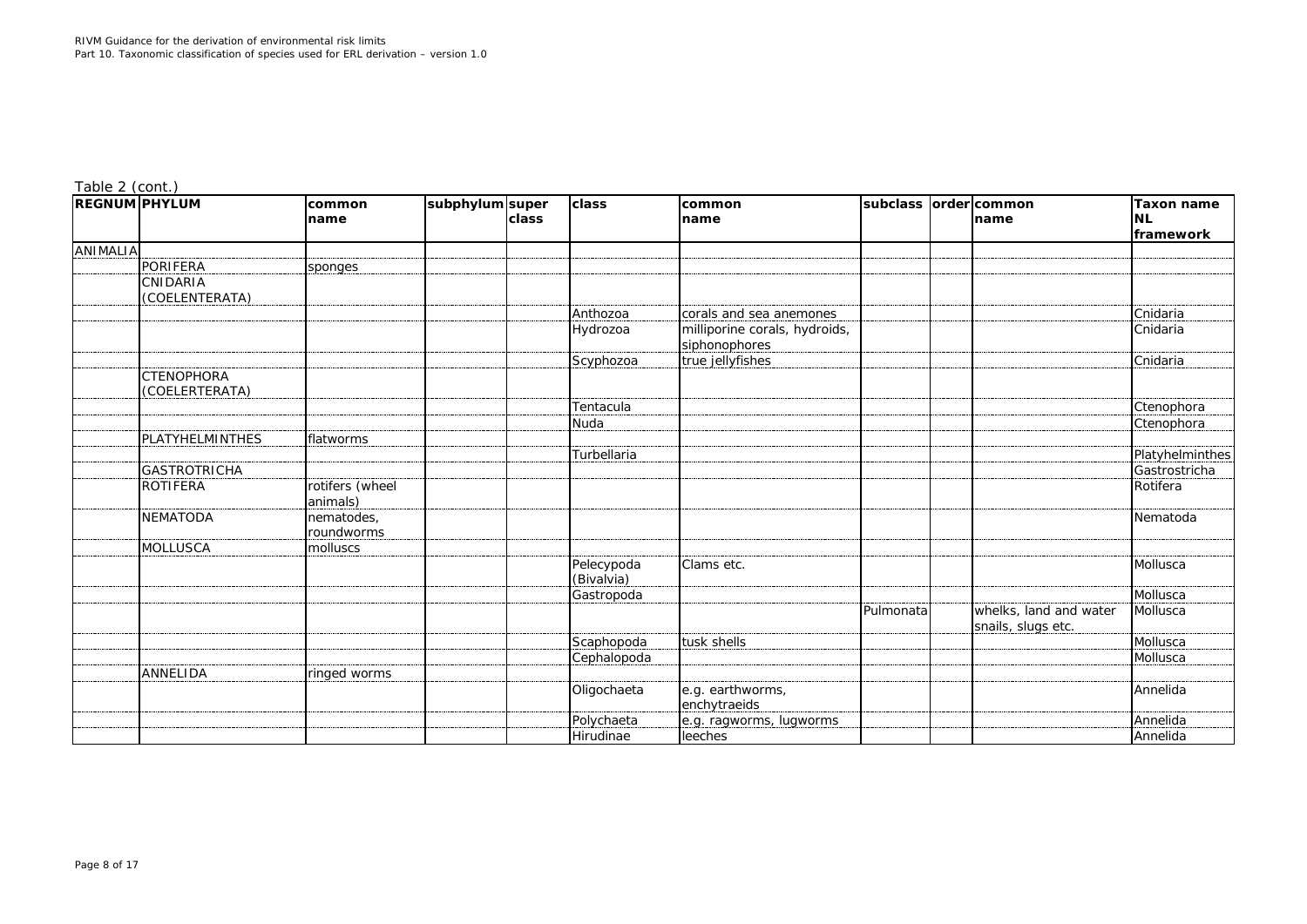| $18010 E$ (correct)<br><b>REGNUM PHYLUM</b> |                                     | common<br>name              | subphylum super | <b>class</b> | class                    | common<br>name                                 | subclass order common | Iname                                        | Taxon name<br><b>NL</b><br>framework |
|---------------------------------------------|-------------------------------------|-----------------------------|-----------------|--------------|--------------------------|------------------------------------------------|-----------------------|----------------------------------------------|--------------------------------------|
| <b>ANIMALIA</b>                             |                                     |                             |                 |              |                          |                                                |                       |                                              |                                      |
|                                             | PORIFERA                            | sponges                     |                 |              |                          |                                                |                       |                                              |                                      |
|                                             | CNIDARIA<br>(COELENTERATA)          |                             |                 |              |                          |                                                |                       |                                              |                                      |
|                                             |                                     |                             |                 |              | Anthozoa                 | corals and sea anemones                        |                       |                                              | Cnidaria                             |
|                                             |                                     |                             |                 |              | Hydrozoa                 | milliporine corals, hydroids,<br>siphonophores |                       |                                              | Cnidaria                             |
|                                             |                                     |                             |                 |              | Scyphozoa                | true jellyfishes                               |                       |                                              | Cnidaria                             |
|                                             | <b>CTENOPHORA</b><br>(COELERTERATA) |                             |                 |              |                          |                                                |                       |                                              |                                      |
|                                             |                                     |                             |                 |              | Tentacula                |                                                |                       |                                              | Ctenophora                           |
|                                             |                                     |                             |                 |              | Nuda                     |                                                |                       |                                              | Ctenophora                           |
|                                             | PLATYHELMINTHES                     | flatworms                   |                 |              |                          |                                                |                       |                                              |                                      |
|                                             |                                     |                             |                 |              | Turbellaria              |                                                |                       |                                              | Platyhelminthes                      |
|                                             | <b>GASTROTRICHA</b>                 |                             |                 |              |                          |                                                |                       |                                              | Gastrostricha                        |
|                                             | ROTIFERA                            | rotifers (wheel<br>animals) |                 |              |                          |                                                |                       |                                              | Rotifera                             |
|                                             | NEMATODA                            | nematodes,<br>roundworms    |                 |              |                          |                                                |                       |                                              | Nematoda                             |
|                                             | <b>MOLLUSCA</b>                     | molluscs                    |                 |              |                          |                                                |                       |                                              |                                      |
|                                             |                                     |                             |                 |              | Pelecypoda<br>(Bivalvia) | Clams etc.                                     |                       |                                              | Mollusca                             |
|                                             |                                     |                             |                 |              | Gastropoda               |                                                |                       |                                              | Mollusca                             |
|                                             |                                     |                             |                 |              |                          |                                                | Pulmonata             | whelks, land and water<br>snails, slugs etc. | Mollusca                             |
|                                             |                                     |                             |                 |              | Scaphopoda               | tusk shells                                    |                       |                                              | Mollusca                             |
|                                             |                                     |                             |                 |              | Cephalopoda              |                                                |                       |                                              | Mollusca                             |
|                                             | <b>ANNELIDA</b>                     | ringed worms                |                 |              |                          |                                                |                       |                                              |                                      |
|                                             |                                     |                             |                 |              | Oligochaeta              | e.g. earthworms,<br>enchytraeids               |                       |                                              | Annelida                             |
|                                             |                                     |                             |                 |              | Polychaeta               | e.g. ragworms, lugworms                        |                       |                                              | Annelida                             |
|                                             |                                     |                             |                 |              | Hirudinae                | leeches                                        |                       |                                              | Annelida                             |

*Table 2 (cont.)*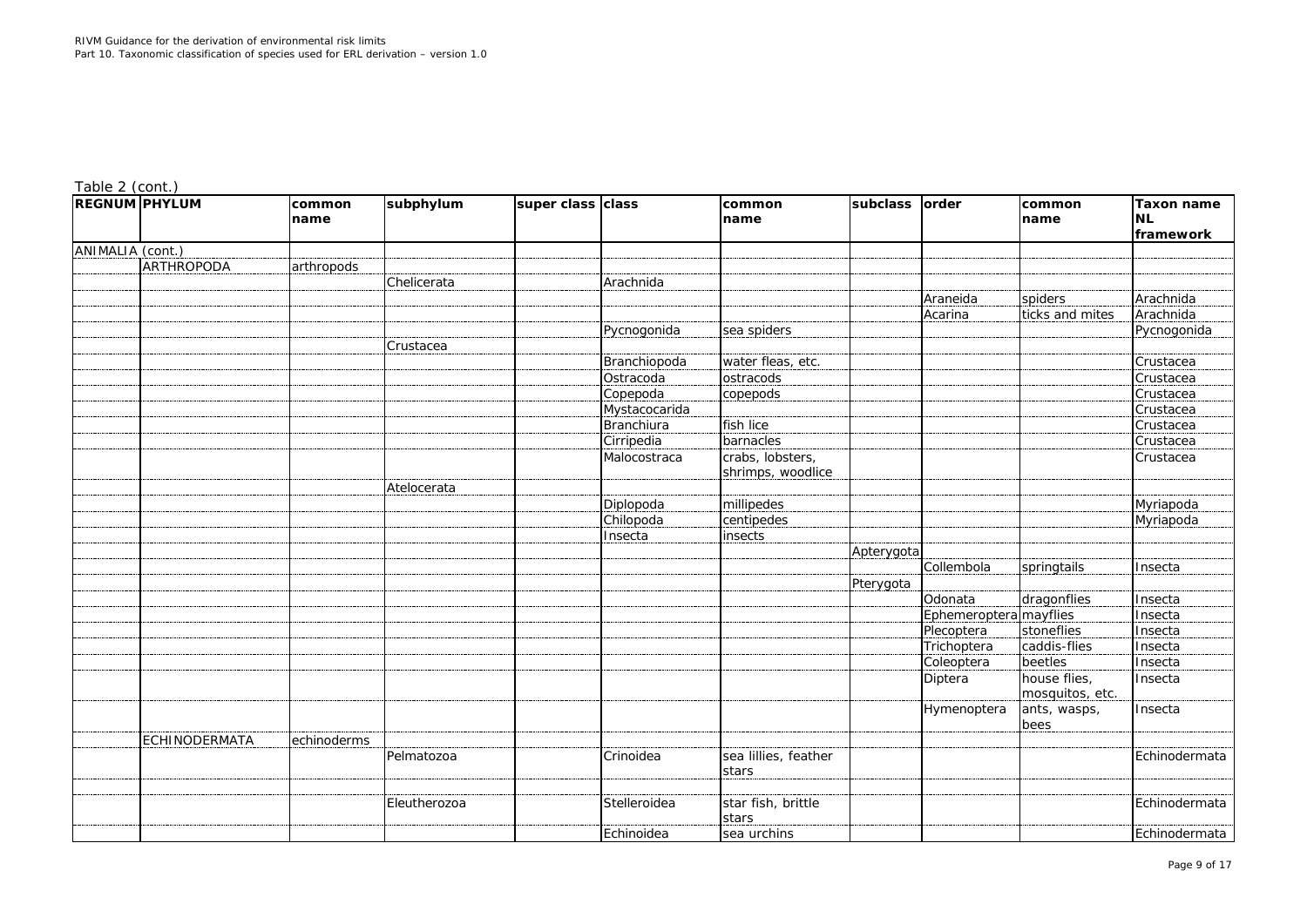| rable 1<br>2 (cont |
|--------------------|
|--------------------|

| <b>REGNUM PHYLUM</b> |               | common<br>name | subphylum    | super class class |                   | common<br>name                | subclass   | order                  | common<br>name                  | <b>Taxon name</b><br><b>NL</b><br>framework |
|----------------------|---------------|----------------|--------------|-------------------|-------------------|-------------------------------|------------|------------------------|---------------------------------|---------------------------------------------|
| ANIMALIA (cont.)     |               |                |              |                   |                   |                               |            |                        |                                 |                                             |
|                      | ARTHROPODA    | arthropods     |              |                   |                   |                               |            |                        |                                 |                                             |
|                      |               |                | Chelicerata  |                   | Arachnida         |                               |            |                        |                                 |                                             |
|                      |               |                |              |                   |                   |                               |            | Araneida               | spiders                         | Arachnida                                   |
|                      |               |                |              |                   |                   |                               |            | Acarina                | ticks and mites                 | Arachnida                                   |
|                      |               |                |              |                   | Pycnogonida       | sea spiders                   |            |                        |                                 | Pycnogonida                                 |
|                      |               |                | Crustacea    |                   |                   |                               |            |                        |                                 |                                             |
|                      |               |                |              |                   | Branchiopoda      | water fleas, etc.             |            |                        |                                 | Crustacea                                   |
|                      |               |                |              |                   | Ostracoda         | ostracods                     |            |                        |                                 | Crustacea                                   |
|                      |               |                |              |                   | Copepoda          | copepods                      |            |                        |                                 | Crustacea                                   |
|                      |               |                |              |                   | Mystacocarida     |                               |            |                        |                                 | Crustacea                                   |
|                      |               |                |              |                   | <b>Branchiura</b> | fish lice                     |            |                        |                                 | Crustacea                                   |
|                      |               |                |              |                   | Cirripedia        | barnacles                     |            |                        |                                 | Crustacea                                   |
|                      |               |                |              |                   | Malocostraca      | crabs, lobsters,              |            |                        |                                 | Crustacea                                   |
|                      |               |                |              |                   |                   | shrimps, woodlice             |            |                        |                                 |                                             |
|                      |               |                | Atelocerata  |                   |                   |                               |            |                        |                                 |                                             |
|                      |               |                |              |                   | Diplopoda         | millipedes                    |            |                        |                                 | Myriapoda                                   |
|                      |               |                |              |                   | Chilopoda         | centipedes                    |            |                        |                                 | Myriapoda                                   |
|                      |               |                |              |                   | Insecta           | insects                       |            |                        |                                 |                                             |
|                      |               |                |              |                   |                   |                               | Apterygota |                        |                                 |                                             |
|                      |               |                |              |                   |                   |                               |            | Collembola             | springtails                     | Insecta                                     |
|                      |               |                |              |                   |                   |                               | Pterygota  |                        |                                 |                                             |
|                      |               |                |              |                   |                   |                               |            | Odonata                | dragonflies                     | Insecta                                     |
|                      |               |                |              |                   |                   |                               |            | Ephemeroptera mayflies |                                 | Insecta                                     |
|                      |               |                |              |                   |                   |                               |            | Plecoptera             | stoneflies                      | Insecta                                     |
|                      |               |                |              |                   |                   |                               |            | Trichoptera            | caddis-flies                    | Insecta                                     |
|                      |               |                |              |                   |                   |                               |            | Coleoptera             | beetles                         | Insecta                                     |
|                      |               |                |              |                   |                   |                               |            | Diptera                | house flies,<br>mosquitos, etc. | Insecta                                     |
|                      |               |                |              |                   |                   |                               |            | Hymenoptera            | ants, wasps,<br>bees            | Insecta                                     |
|                      | ECHINODERMATA | echinoderms    |              |                   |                   |                               |            |                        |                                 |                                             |
|                      |               |                | Pelmatozoa   |                   | Crinoidea         | sea lillies, feather<br>stars |            |                        |                                 | Echinodermata                               |
|                      |               |                |              |                   |                   |                               |            |                        |                                 |                                             |
|                      |               |                | Eleutherozoa |                   | Stelleroidea      | star fish, brittle<br>stars   |            |                        |                                 | Echinodermata                               |
|                      |               |                |              |                   | Echinoidea        | sea urchins                   |            |                        |                                 | Echinodermata                               |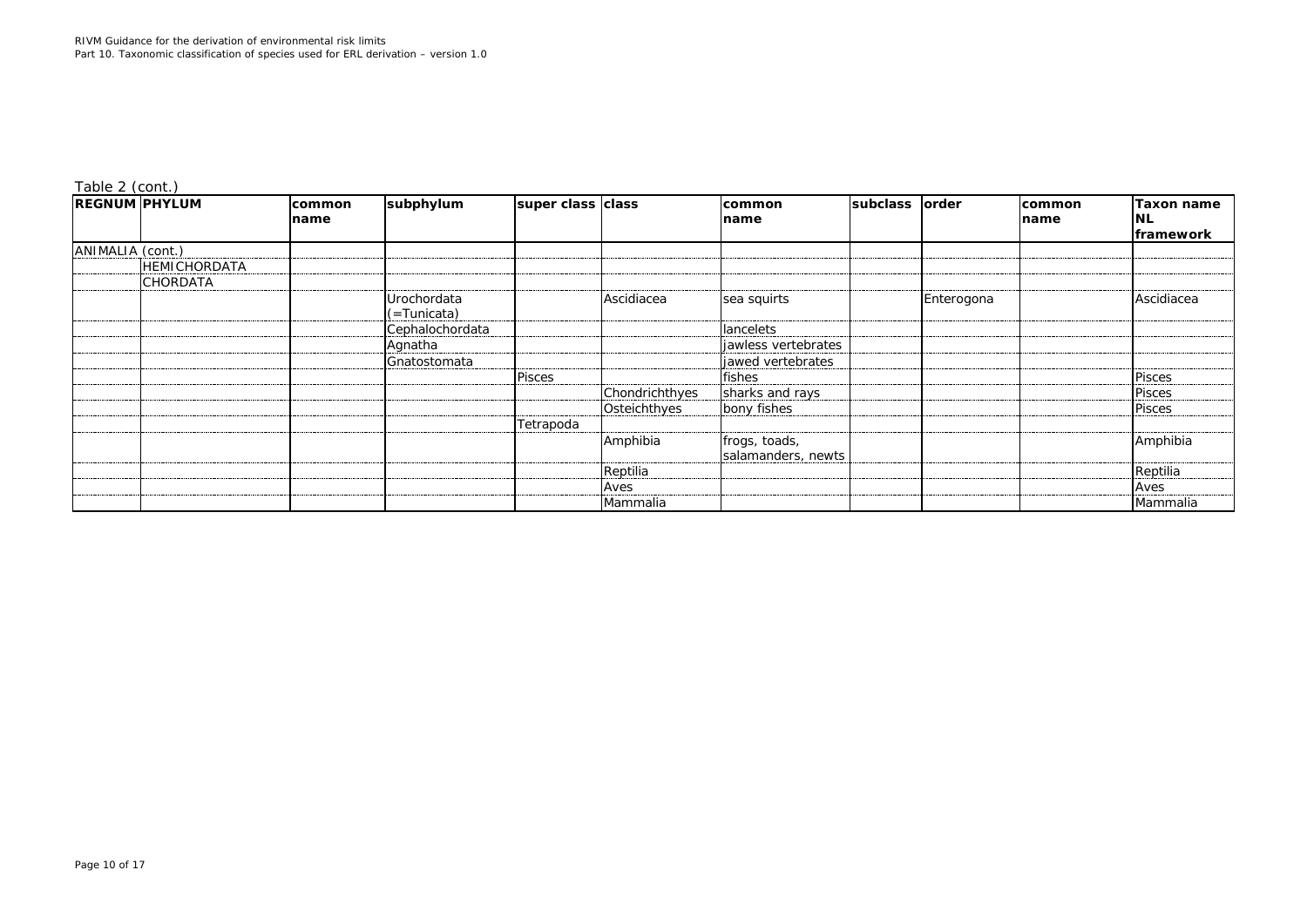*Table 2 (cont.)*

| <b>REGNUM PHYLUM</b> |                     | <b>common</b><br>name | subphylum                  | super class class |                | <b>common</b><br>name               | subclass | order      | <b>common</b><br>name | <b>Taxon name</b><br>INL<br>framework |
|----------------------|---------------------|-----------------------|----------------------------|-------------------|----------------|-------------------------------------|----------|------------|-----------------------|---------------------------------------|
| ANIMALIA (cont.)     |                     |                       |                            |                   |                |                                     |          |            |                       |                                       |
|                      | <b>HEMICHORDATA</b> |                       |                            |                   |                |                                     |          |            |                       |                                       |
|                      | <b>CHORDATA</b>     |                       |                            |                   |                |                                     |          |            |                       |                                       |
|                      |                     |                       | Urochordata<br>(=Tunicata) |                   | Ascidiacea     | sea squirts                         |          | Enterogona |                       | Ascidiacea                            |
|                      |                     |                       | Cephalochordata            |                   |                | <b>lancelets</b>                    |          |            |                       |                                       |
|                      |                     |                       | Agnatha                    |                   |                | jawless vertebrates                 |          |            |                       |                                       |
|                      |                     |                       | Gnatostomata               |                   |                | jawed vertebrates                   |          |            |                       |                                       |
|                      |                     |                       |                            | <b>Pisces</b>     |                | fishes                              |          |            |                       | <b>Pisces</b>                         |
|                      |                     |                       |                            |                   | Chondrichthyes | sharks and rays                     |          |            |                       | <b>Pisces</b>                         |
|                      |                     |                       |                            |                   | Osteichthyes   | bony fishes                         |          |            |                       | <b>Pisces</b>                         |
|                      |                     |                       |                            | Tetrapoda         |                |                                     |          |            |                       |                                       |
|                      |                     |                       |                            |                   | Amphibia       | frogs, toads,<br>salamanders, newts |          |            |                       | Amphibia                              |
|                      |                     |                       |                            |                   | Reptilia       |                                     |          |            |                       | Reptilia                              |
|                      |                     |                       |                            |                   | Aves           |                                     |          |            |                       | Aves                                  |
|                      |                     |                       |                            |                   | Mammalia       |                                     |          |            |                       | Mammalia                              |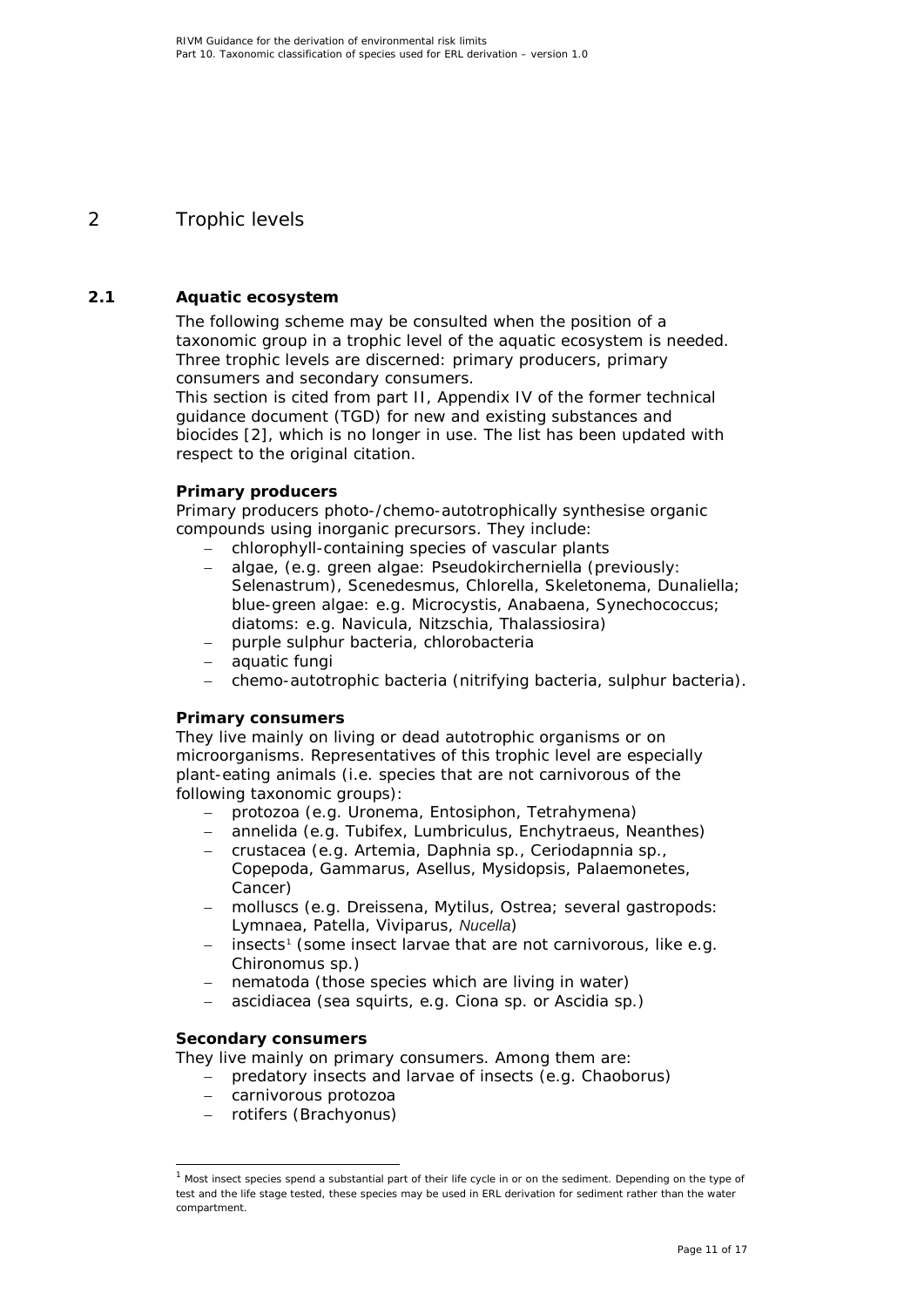# <span id="page-10-0"></span>2 Trophic levels

### **2.1 Aquatic ecosystem**

<span id="page-10-1"></span>The following scheme may be consulted when the position of a taxonomic group in a trophic level of the aquatic ecosystem is needed. Three trophic levels are discerned: primary producers, primary consumers and secondary consumers.

This section is cited from part II, Appendix IV of the former technical guidance document (TGD) for new and existing substances and biocides [\[2\]](#page-14-3), which is no longer in use. The list has been updated with respect to the original citation.

#### **Primary producers**

Primary producers photo-/chemo-autotrophically synthesise organic compounds using inorganic precursors. They include:

- − chlorophyll-containing species of vascular plants
- − algae, (e.g. green algae: *Pseudokircherniella (*previously: *Selenastrum*), *Scenedesmus*, *Chlorella, Skeletonema, Dunaliella*; blue-green algae: e.g. *Microcystis, Anabaena, Synechococcus;*  diatoms: e.g. *Navicula*, *Nitzschia, Thalassiosira*)
- − purple sulphur bacteria, chlorobacteria
- − aquatic fungi
- − chemo-autotrophic bacteria (nitrifying bacteria, sulphur bacteria).

#### **Primary consumers**

They live mainly on living or dead autotrophic organisms or on microorganisms. Representatives of this trophic level are especially plant-eating animals (i.e. species that are not carnivorous of the following taxonomic groups):

- − protozoa (e.g. *Uronema*, *Entosiphon*, *Tetrahymena*)
- − annelida (e.g. *Tubifex*, *Lumbriculus*, *Enchytraeus, Neanthes*)
- − crustacea (e.g. *Artemia*, *Daphnia* sp., *Ceriodapnnia* sp., *Copepoda*, *Gammarus*, *Asellus, Mysidopsis, Palaemonetes, Cancer*)
- − molluscs (e.g. *Dreissena*, *Mytilus*, *Ostrea*; several gastropods: *Lymnaea*, *Patella*, *Viviparus, Nucella*)
- − insects<sup>[1](#page-10-2)</sup> (some insect larvae that are not carnivorous, like e.g. *Chironomus* sp.)
- nematoda (those species which are living in water)
- − ascidiacea (sea squirts, e.g. *Ciona* sp. or *Ascidia* sp.)

#### **Secondary consumers**

They live mainly on primary consumers. Among them are:

- − predatory insects and larvae of insects (e.g. *Chaoborus*)
- − carnivorous protozoa
- − rotifers (*Brachyonus*)

<span id="page-10-2"></span> $1$  Most insect species spend a substantial part of their life cycle in or on the sediment. Depending on the type of test and the life stage tested, these species may be used in ERL derivation for sediment rather than the water compartment.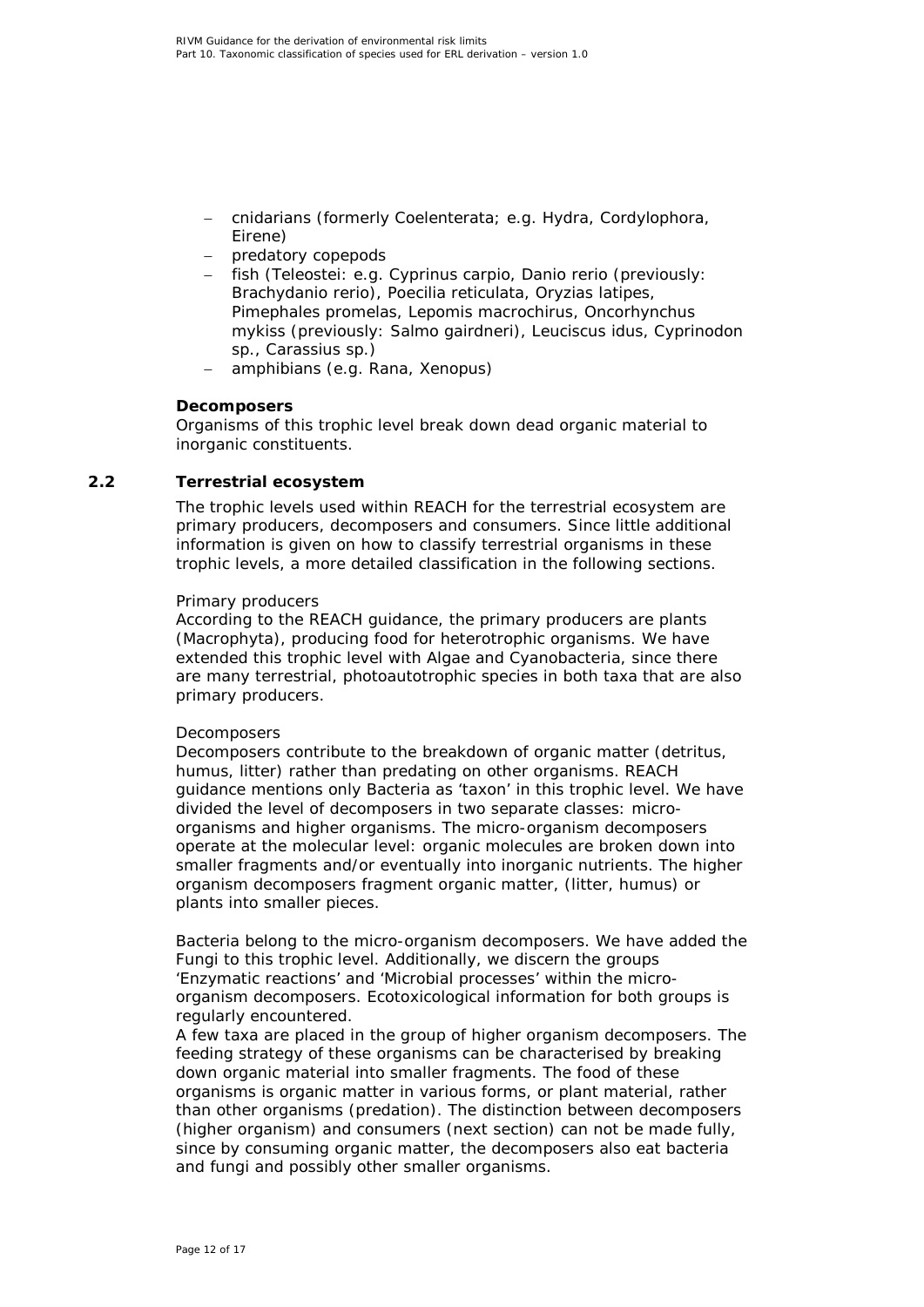- − cnidarians (formerly Coelenterata; e.g. *Hydra, Cordylophora, Eirene*)
- − predatory copepods
- − fish (Teleostei: e.g. *Cyprinus carpio*, *Danio rerio* (previously: *Brachydanio rerio*), *Poecilia reticulata*, *Oryzias latipes*, *Pimephales promelas*, *Lepomis macrochirus*, *Oncorhynchus mykiss* (previously: *Salmo gairdneri*), *Leuciscus idus*, *Cyprinodon* sp., *Carassius* sp*.*)
- − amphibians (e.g. *Rana*, *Xenopus*)

#### **Decomposers**

Organisms of this trophic level break down dead organic material to inorganic constituents.

#### **2.2 Terrestrial ecosystem**

<span id="page-11-0"></span>The trophic levels used within REACH for the terrestrial ecosystem are primary producers, decomposers and consumers. Since little additional information is given on how to classify terrestrial organisms in these trophic levels, a more detailed classification in the following sections.

#### *Primary producers*

According to the REACH guidance, the primary producers are plants (Macrophyta), producing food for heterotrophic organisms. We have extended this trophic level with Algae and Cyanobacteria, since there are many terrestrial, photoautotrophic species in both taxa that are also primary producers.

#### *Decomposers*

Decomposers contribute to the breakdown of organic matter (detritus, humus, litter) rather than predating on other organisms. REACH guidance mentions only Bacteria as 'taxon' in this trophic level. We have divided the level of decomposers in two separate classes: microorganisms and higher organisms. The micro-organism decomposers operate at the molecular level: organic molecules are broken down into smaller fragments and/or eventually into inorganic nutrients. The higher organism decomposers fragment organic matter, (litter, humus) or plants into smaller pieces.

Bacteria belong to the micro-organism decomposers. We have added the Fungi to this trophic level. Additionally, we discern the groups 'Enzymatic reactions' and 'Microbial processes' within the microorganism decomposers. Ecotoxicological information for both groups is regularly encountered.

A few taxa are placed in the group of higher organism decomposers. The feeding strategy of these organisms can be characterised by breaking down organic material into smaller fragments. The food of these organisms is organic matter in various forms, or plant material, rather than other organisms (predation). The distinction between decomposers (higher organism) and consumers (next section) can not be made fully, since by consuming organic matter, the decomposers also eat bacteria and fungi and possibly other smaller organisms.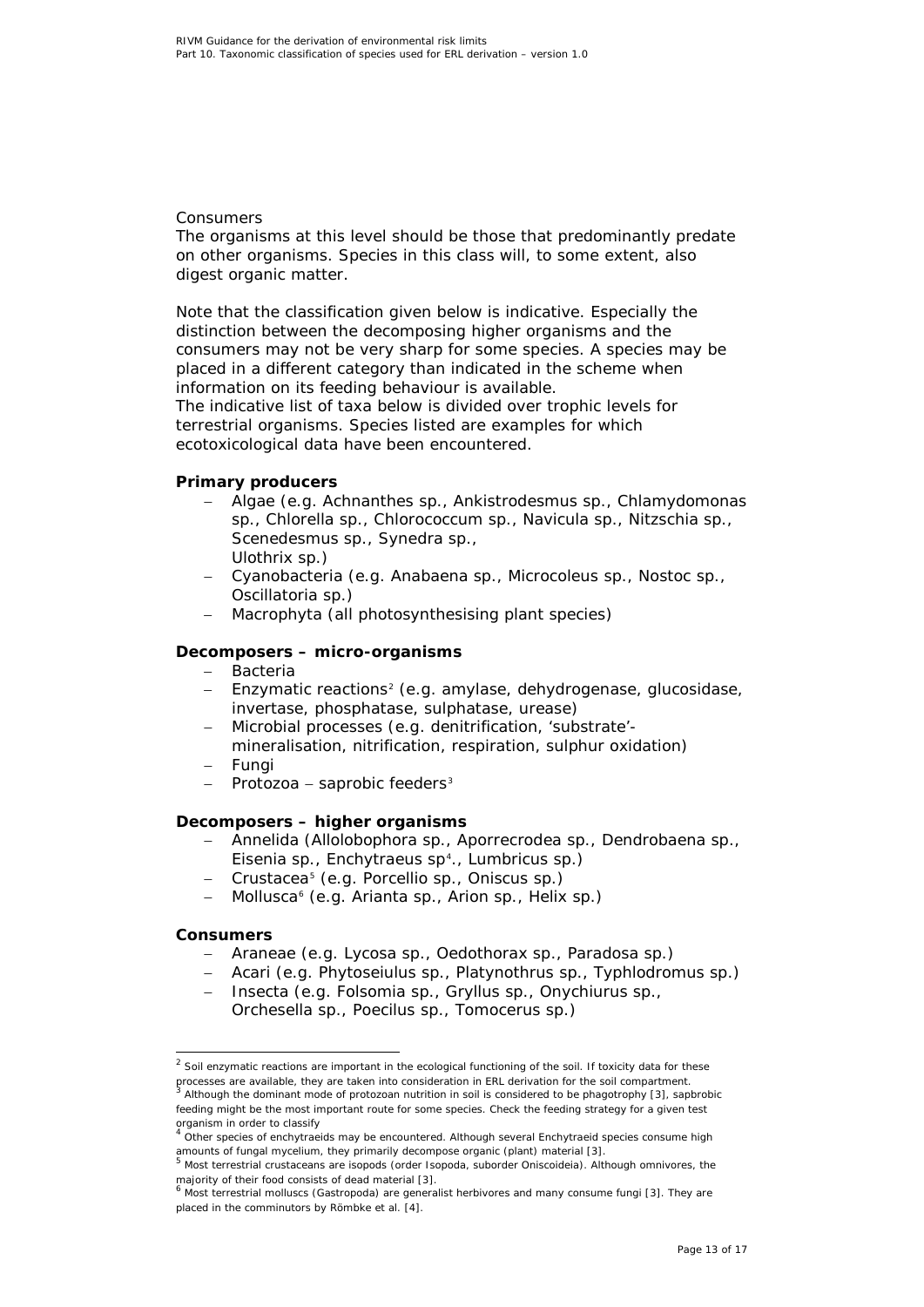#### *Consumers*

The organisms at this level should be those that predominantly predate on other organisms. Species in this class will, to some extent, also digest organic matter.

Note that the classification given below is indicative. Especially the distinction between the decomposing higher organisms and the consumers may not be very sharp for some species. A species may be placed in a different category than indicated in the scheme when information on its feeding behaviour is available.

The indicative list of taxa below is divided over trophic levels for terrestrial organisms. Species listed are examples for which ecotoxicological data have been encountered.

#### **Primary producers**

- − Algae (e.g. *Achnanthes* sp., *Ankistrodesmus* sp., *Chlamydomonas* sp., *Chlorella* sp., *Chlorococcum* sp., *Navicula* sp., *Nitzschia* sp., *Scenedesmus* sp., *Synedra* sp., *Ulothrix* sp.)
- − Cyanobacteria (e.g. *Anabaena* sp., *Microcoleus* sp., *Nostoc* sp., *Oscillatoria* sp.)
- Macrophyta (all photosynthesising plant species)

#### **Decomposers – micro-organisms**

- − Bacteria
- − Enzymatic reactions<sup>[2](#page-12-0)</sup> (e.g. amylase, dehydrogenase, glucosidase, invertase, phosphatase, sulphatase, urease)
- − Microbial processes (e.g. denitrification, 'substrate' mineralisation, nitrification, respiration, sulphur oxidation)
- − Fungi
- − Protozoa − saprobic feeders[3](#page-12-1)

#### **Decomposers – higher organisms**

- − Annelida (*Allolobophora* sp., *Aporrecrodea* sp., *Dendrobaena* sp., *Eisenia* sp., *Enchytraeus* sp[4](#page-12-2) ., *Lumbricus* sp.)
- − Crustacea[5](#page-12-3) (e.g. *Porcellio* sp., *Oniscus* sp.)
- − Mollusca[6](#page-12-4) (e.g. *Arianta* sp., *Arion* sp., *Helix* sp.)

#### **Consumers**

- − Araneae (e.g. *Lycosa* sp., *Oedothorax* sp., *Paradosa* sp.)
- − Acari (e.g. *Phytoseiulus* sp., *Platynothrus* sp., *Typhlodromus* sp.)
- − Insecta (e.g. *Folsomia* sp., *Gryllus* sp., *Onychiurus* sp., *Orchesella* sp., *Poecilus* sp., *Tomocerus* sp.)

<span id="page-12-0"></span> $2$  Soil enzymatic reactions are important in the ecological functioning of the soil. If toxicity data for these processes are available, they are taken into consideration in ERL derivation for the soil compartment.

<span id="page-12-1"></span><sup>3</sup> Although the dominant mode of protozoan nutrition in soil is considered to be phagotrophy [\[3\]](#page-14-4), sapbrobic feeding might be the most important route for some species. Check the feeding strategy for a given test

organism in order to classify<br><sup>4</sup> Other species of enchytraeids may be encountered. Although several Enchytraeid species consume high

<span id="page-12-3"></span><span id="page-12-2"></span>amounts of fungal mycelium, they primarily decompose organic (plant) material [\[3\]](#page-14-4).<br><sup>5</sup> Most terrestrial crustaceans are isopods (order Isopoda, suborder Oniscoideia). Although omnivores, the

<span id="page-12-4"></span>majority of their food consists of dead material [\[3\]](#page-14-4).<br><sup>6</sup> Most terrestrial molluscs (Gastropoda) are generalist herbivores and many consume fungi [3]. They are placed in the comminutors by Römbke *et al*. [\[4\]](#page-14-5).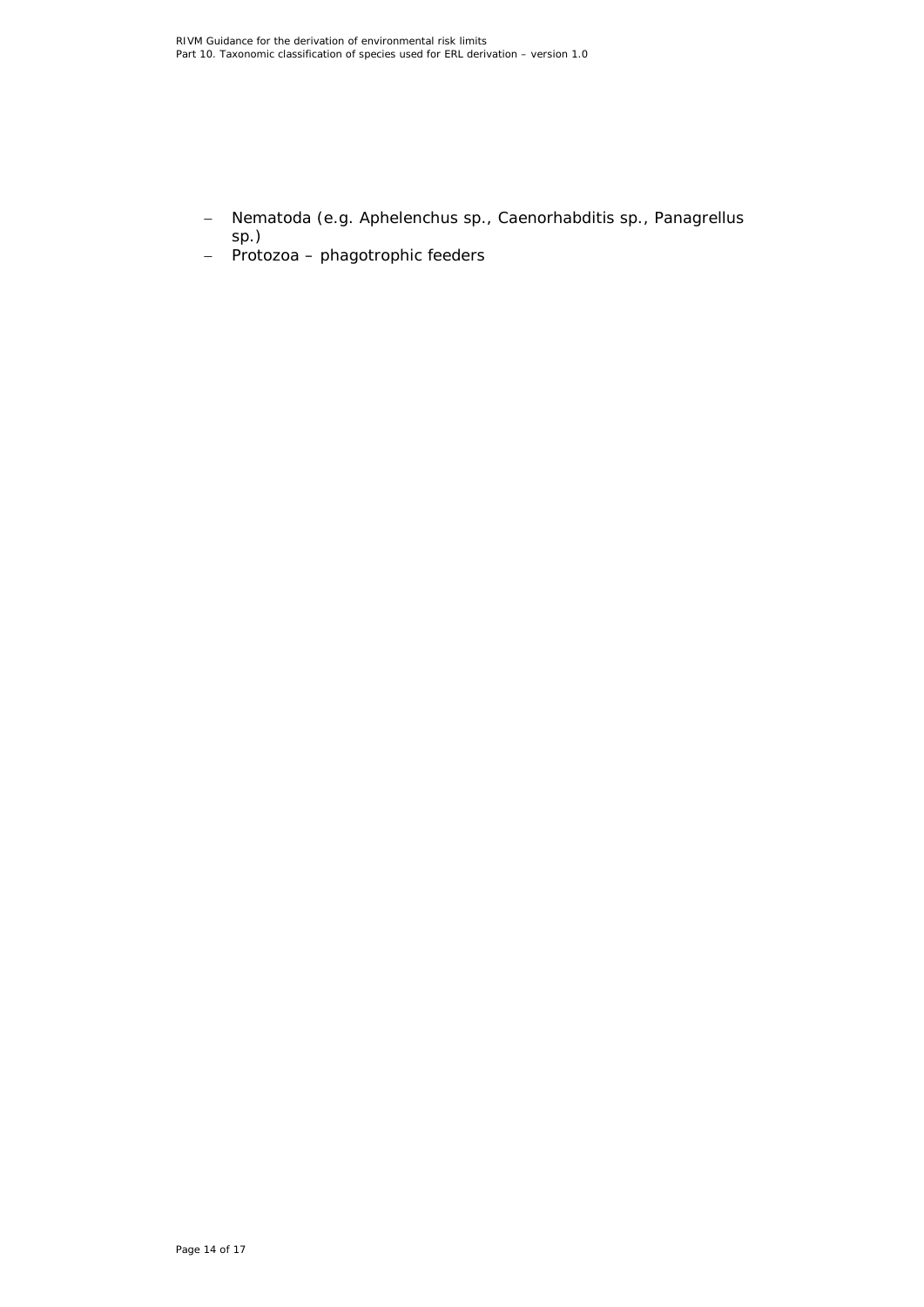- − Nematoda (e.g. *Aphelenchus* sp., *Caenorhabditis* sp., *Panagrellus* sp.)
- − Protozoa phagotrophic feeders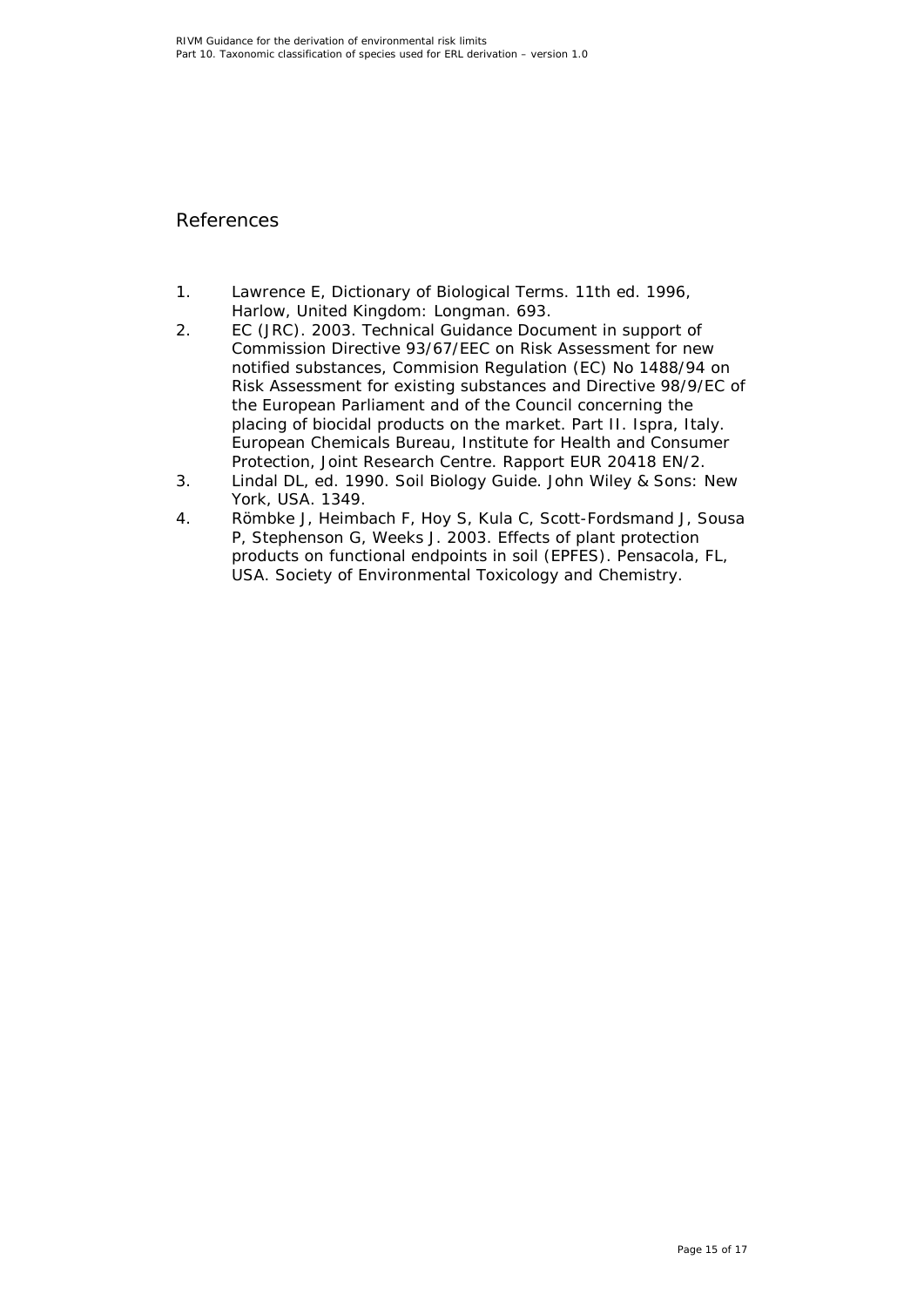## <span id="page-14-0"></span>References

- <span id="page-14-2"></span>1. Lawrence E, Dictionary of Biological Terms. 11th ed. 1996, Harlow, United Kingdom: Longman. 693.
- <span id="page-14-3"></span>2. EC (JRC). 2003. Technical Guidance Document in support of Commission Directive 93/67/EEC on Risk Assessment for new notified substances, Commision Regulation (EC) No 1488/94 on Risk Assessment for existing substances and Directive 98/9/EC of the European Parliament and of the Council concerning the placing of biocidal products on the market. Part II. Ispra, Italy. European Chemicals Bureau, Institute for Health and Consumer Protection, Joint Research Centre. Rapport EUR 20418 EN/2.
- <span id="page-14-4"></span>3. Lindal DL, ed. 1990. Soil Biology Guide. John Wiley & Sons: New York, USA. 1349.
- <span id="page-14-5"></span><span id="page-14-1"></span>4. Römbke J, Heimbach F, Hoy S, Kula C, Scott-Fordsmand J, Sousa P, Stephenson G, Weeks J. 2003. Effects of plant protection products on functional endpoints in soil (EPFES). Pensacola, FL, USA. Society of Environmental Toxicology and Chemistry.